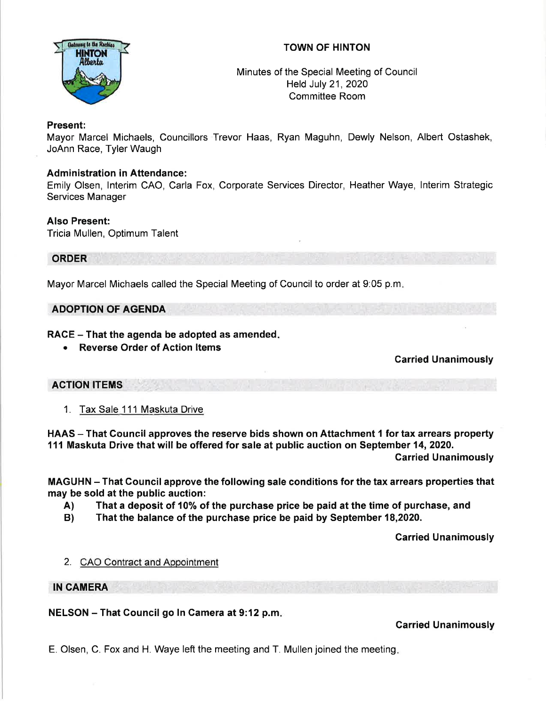# TOWN OF HINTON



Minutes of the Special Meeting of Council Held July 21,2020 Committee Room

## Present:

Mayor Marcel Michaels, Councillors Trevor Haas, Ryan Maguhn, Dewly Nelson, Albert Ostashek, JoAnn Race, Tyler Waugh

## **Administration in Attendance:**

Emily Olsen, lnterim CAO, Carla Fox, Corporate Services Director, Heather Waye, lnterim Strategic Services Manager

## Also Present:

Tricia Mullen, Optimum Talent

## ORDER

Mayor Marcel Michaels called the Special Meeting of Council to order at 9:05 p.m

## ADOPTION OF AGENDA

## RACE – That the agenda be adopted as amended.

. Reverse Order of Action ltems

# Carried Unanimously

## ACTION ITEMS

1. Tax Sale 111 Maskuta Drive

HAAS - That Council approves the reserve bids shown on Attachment 1 for tax arrears property 111 Maskuta Drive that will be offered for sale at public auction on September 14, 2020.

Garried Unanimously

MAGUHN - That Gouncil approve the following sale conditions for the tax arrears properties that may be sold at the public auction:

- A) That a deposit of 10% of the purchase price be paid at the time of purchase, and
- B) That the balance of the purchase price be paid by September 18,2020.

Carried Unanimously

## 2. CAO Contract and Appointment

## IN CAMERA

NELSON - That Gouncil go In Camera at 9:12 p.m

# Garried Unanimously

E. Olsen, C. Fox and H. Waye left the meeting and T. Mullen joined the meeting